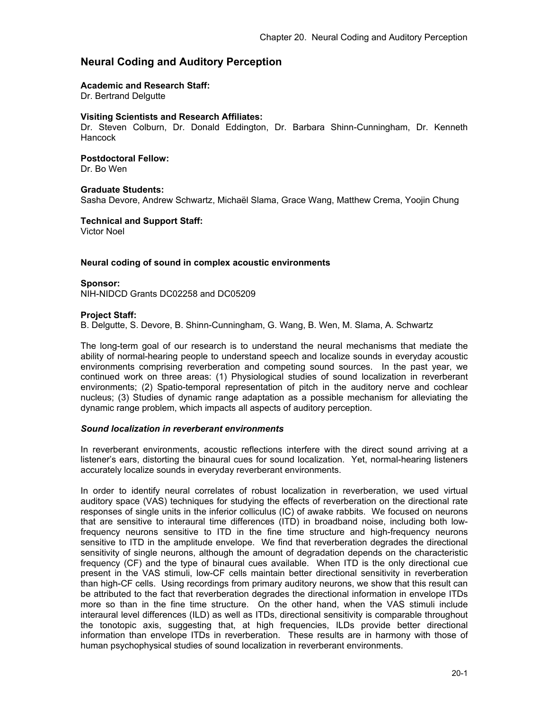# **Neural Coding and Auditory Perception**

### **Academic and Research Staff:**

Dr. Bertrand Delgutte

#### **Visiting Scientists and Research Affiliates:**

Dr. Steven Colburn, Dr. Donald Eddington, Dr. Barbara Shinn-Cunningham, Dr. Kenneth **Hancock** 

#### **Postdoctoral Fellow:**

Dr. Bo Wen

### **Graduate Students:**

Sasha Devore, Andrew Schwartz, Michaël Slama, Grace Wang, Matthew Crema, Yoojin Chung

### **Technical and Support Staff:**

Victor Noel

### **Neural coding of sound in complex acoustic environments**

### **Sponsor:**

NIH-NIDCD Grants DC02258 and DC05209

### **Project Staff:**

B. Delgutte, S. Devore, B. Shinn-Cunningham, G. Wang, B. Wen, M. Slama, A. Schwartz

The long-term goal of our research is to understand the neural mechanisms that mediate the ability of normal-hearing people to understand speech and localize sounds in everyday acoustic environments comprising reverberation and competing sound sources. In the past year, we continued work on three areas: (1) Physiological studies of sound localization in reverberant environments; (2) Spatio-temporal representation of pitch in the auditory nerve and cochlear nucleus; (3) Studies of dynamic range adaptation as a possible mechanism for alleviating the dynamic range problem, which impacts all aspects of auditory perception.

#### *Sound localization in reverberant environments*

In reverberant environments, acoustic reflections interfere with the direct sound arriving at a listener's ears, distorting the binaural cues for sound localization. Yet, normal-hearing listeners accurately localize sounds in everyday reverberant environments.

In order to identify neural correlates of robust localization in reverberation, we used virtual auditory space (VAS) techniques for studying the effects of reverberation on the directional rate responses of single units in the inferior colliculus (IC) of awake rabbits. We focused on neurons that are sensitive to interaural time differences (ITD) in broadband noise, including both lowfrequency neurons sensitive to ITD in the fine time structure and high-frequency neurons sensitive to ITD in the amplitude envelope. We find that reverberation degrades the directional sensitivity of single neurons, although the amount of degradation depends on the characteristic frequency (CF) and the type of binaural cues available. When ITD is the only directional cue present in the VAS stimuli, low-CF cells maintain better directional sensitivity in reverberation than high-CF cells. Using recordings from primary auditory neurons, we show that this result can be attributed to the fact that reverberation degrades the directional information in envelope ITDs more so than in the fine time structure. On the other hand, when the VAS stimuli include interaural level differences (ILD) as well as ITDs, directional sensitivity is comparable throughout the tonotopic axis, suggesting that, at high frequencies, ILDs provide better directional information than envelope ITDs in reverberation. These results are in harmony with those of human psychophysical studies of sound localization in reverberant environments.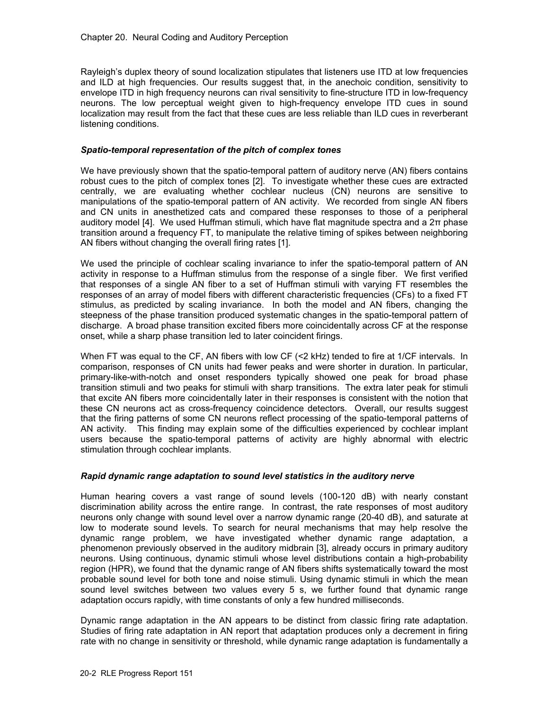Rayleigh's duplex theory of sound localization stipulates that listeners use ITD at low frequencies and ILD at high frequencies. Our results suggest that, in the anechoic condition, sensitivity to envelope ITD in high frequency neurons can rival sensitivity to fine-structure ITD in low-frequency neurons. The low perceptual weight given to high-frequency envelope ITD cues in sound localization may result from the fact that these cues are less reliable than ILD cues in reverberant listening conditions.

## *Spatio-temporal representation of the pitch of complex tones*

We have previously shown that the spatio-temporal pattern of auditory nerve (AN) fibers contains robust cues to the pitch of complex tones [2]. To investigate whether these cues are extracted centrally, we are evaluating whether cochlear nucleus (CN) neurons are sensitive to manipulations of the spatio-temporal pattern of AN activity. We recorded from single AN fibers and CN units in anesthetized cats and compared these responses to those of a peripheral auditory model [4]. We used Huffman stimuli, which have flat magnitude spectra and a 2π phase transition around a frequency FT, to manipulate the relative timing of spikes between neighboring AN fibers without changing the overall firing rates [1].

We used the principle of cochlear scaling invariance to infer the spatio-temporal pattern of AN activity in response to a Huffman stimulus from the response of a single fiber. We first verified that responses of a single AN fiber to a set of Huffman stimuli with varying FT resembles the responses of an array of model fibers with different characteristic frequencies (CFs) to a fixed FT stimulus, as predicted by scaling invariance. In both the model and AN fibers, changing the steepness of the phase transition produced systematic changes in the spatio-temporal pattern of discharge. A broad phase transition excited fibers more coincidentally across CF at the response onset, while a sharp phase transition led to later coincident firings.

When FT was equal to the CF, AN fibers with low CF (<2 kHz) tended to fire at 1/CF intervals. In comparison, responses of CN units had fewer peaks and were shorter in duration. In particular, primary-like-with-notch and onset responders typically showed one peak for broad phase transition stimuli and two peaks for stimuli with sharp transitions. The extra later peak for stimuli that excite AN fibers more coincidentally later in their responses is consistent with the notion that these CN neurons act as cross-frequency coincidence detectors. Overall, our results suggest that the firing patterns of some CN neurons reflect processing of the spatio-temporal patterns of AN activity. This finding may explain some of the difficulties experienced by cochlear implant users because the spatio-temporal patterns of activity are highly abnormal with electric stimulation through cochlear implants.

## *Rapid dynamic range adaptation to sound level statistics in the auditory nerve*

Human hearing covers a vast range of sound levels (100-120 dB) with nearly constant discrimination ability across the entire range. In contrast, the rate responses of most auditory neurons only change with sound level over a narrow dynamic range (20-40 dB), and saturate at low to moderate sound levels. To search for neural mechanisms that may help resolve the dynamic range problem, we have investigated whether dynamic range adaptation, a phenomenon previously observed in the auditory midbrain [3], already occurs in primary auditory neurons. Using continuous, dynamic stimuli whose level distributions contain a high-probability region (HPR), we found that the dynamic range of AN fibers shifts systematically toward the most probable sound level for both tone and noise stimuli. Using dynamic stimuli in which the mean sound level switches between two values every 5 s, we further found that dynamic range adaptation occurs rapidly, with time constants of only a few hundred milliseconds.

Dynamic range adaptation in the AN appears to be distinct from classic firing rate adaptation. Studies of firing rate adaptation in AN report that adaptation produces only a decrement in firing rate with no change in sensitivity or threshold, while dynamic range adaptation is fundamentally a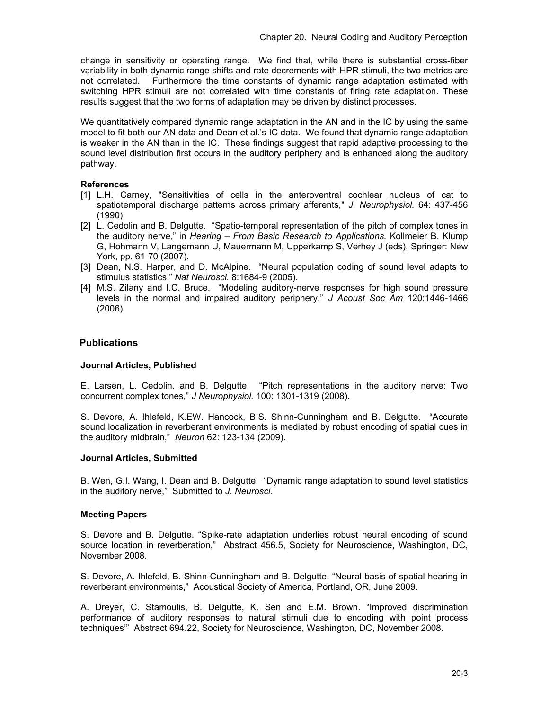change in sensitivity or operating range. We find that, while there is substantial cross-fiber variability in both dynamic range shifts and rate decrements with HPR stimuli, the two metrics are not correlated. Furthermore the time constants of dynamic range adaptation estimated with switching HPR stimuli are not correlated with time constants of firing rate adaptation. These results suggest that the two forms of adaptation may be driven by distinct processes.

We quantitatively compared dynamic range adaptation in the AN and in the IC by using the same model to fit both our AN data and Dean et al.'s IC data. We found that dynamic range adaptation is weaker in the AN than in the IC. These findings suggest that rapid adaptive processing to the sound level distribution first occurs in the auditory periphery and is enhanced along the auditory pathway.

## **References**

- [1] L.H. Carney, "Sensitivities of cells in the anteroventral cochlear nucleus of cat to spatiotemporal discharge patterns across primary afferents," *J. Neurophysiol.* 64: 437-456 (1990).
- [2] L. Cedolin and B. Delgutte. "Spatio-temporal representation of the pitch of complex tones in the auditory nerve," in *Hearing – From Basic Research to Applications,* Kollmeier B, Klump G, Hohmann V, Langemann U, Mauermann M, Upperkamp S, Verhey J (eds), Springer: New York, pp. 61-70 (2007).
- [3] Dean, N.S. Harper, and D. McAlpine. "Neural population coding of sound level adapts to stimulus statistics," *Nat Neurosci.* 8:1684-9 (2005).
- [4] M.S. Zilany and I.C. Bruce. "Modeling auditory-nerve responses for high sound pressure levels in the normal and impaired auditory periphery." *J Acoust Soc Am* 120:1446-1466 (2006).

# **Publications**

## **Journal Articles, Published**

E. Larsen, L. Cedolin. and B. Delgutte. "Pitch representations in the auditory nerve: Two concurrent complex tones," *J Neurophysiol.* 100: 1301-1319 (2008).

S. Devore, A. Ihlefeld, K.EW. Hancock, B.S. Shinn-Cunningham and B. Delgutte. "Accurate sound localization in reverberant environments is mediated by robust encoding of spatial cues in the auditory midbrain," *Neuron* 62: 123-134 (2009).

## **Journal Articles, Submitted**

B. Wen, G.I. Wang, I. Dean and B. Delgutte. "Dynamic range adaptation to sound level statistics in the auditory nerve," Submitted to *J. Neurosci.* 

## **Meeting Papers**

S. Devore and B. Delgutte. "Spike-rate adaptation underlies robust neural encoding of sound source location in reverberation," Abstract 456.5, Society for Neuroscience, Washington, DC, November 2008.

S. Devore, A. Ihlefeld, B. Shinn-Cunningham and B. Delgutte. "Neural basis of spatial hearing in reverberant environments," Acoustical Society of America, Portland, OR, June 2009.

A. Dreyer, C. Stamoulis, B. Delgutte, K. Sen and E.M. Brown. "Improved discrimination performance of auditory responses to natural stimuli due to encoding with point process techniques'" Abstract 694.22, Society for Neuroscience, Washington, DC, November 2008.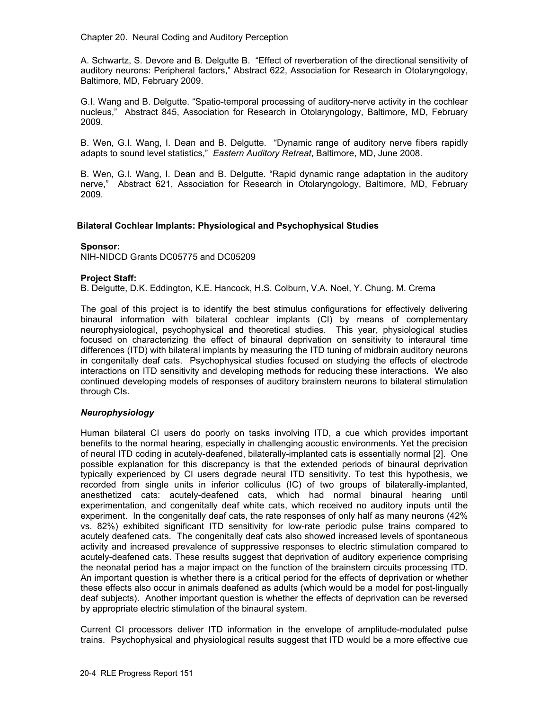Chapter 20. Neural Coding and Auditory Perception

A. Schwartz, S. Devore and B. Delgutte B. "Effect of reverberation of the directional sensitivity of auditory neurons: Peripheral factors," Abstract 622, Association for Research in Otolaryngology, Baltimore, MD, February 2009.

G.I. Wang and B. Delgutte. "Spatio-temporal processing of auditory-nerve activity in the cochlear nucleus," Abstract 845, Association for Research in Otolaryngology, Baltimore, MD, February 2009.

B. Wen, G.I. Wang, I. Dean and B. Delgutte. "Dynamic range of auditory nerve fibers rapidly adapts to sound level statistics," *Eastern Auditory Retreat*, Baltimore, MD, June 2008.

B. Wen, G.I. Wang, I. Dean and B. Delgutte. "Rapid dynamic range adaptation in the auditory nerve," Abstract 621, Association for Research in Otolaryngology, Baltimore, MD, February 2009.

## **Bilateral Cochlear Implants: Physiological and Psychophysical Studies**

### **Sponsor:**

NIH-NIDCD Grants DC05775 and DC05209

## **Project Staff:**

B. Delgutte, D.K. Eddington, K.E. Hancock, H.S. Colburn, V.A. Noel, Y. Chung. M. Crema

The goal of this project is to identify the best stimulus configurations for effectively delivering binaural information with bilateral cochlear implants (CI) by means of complementary neurophysiological, psychophysical and theoretical studies. This year, physiological studies focused on characterizing the effect of binaural deprivation on sensitivity to interaural time differences (ITD) with bilateral implants by measuring the ITD tuning of midbrain auditory neurons in congenitally deaf cats. Psychophysical studies focused on studying the effects of electrode interactions on ITD sensitivity and developing methods for reducing these interactions. We also continued developing models of responses of auditory brainstem neurons to bilateral stimulation through CIs.

## *Neurophysiology*

Human bilateral CI users do poorly on tasks involving ITD, a cue which provides important benefits to the normal hearing, especially in challenging acoustic environments. Yet the precision of neural ITD coding in acutely-deafened, bilaterally-implanted cats is essentially normal [2]. One possible explanation for this discrepancy is that the extended periods of binaural deprivation typically experienced by CI users degrade neural ITD sensitivity. To test this hypothesis, we recorded from single units in inferior colliculus (IC) of two groups of bilaterally-implanted, anesthetized cats: acutely-deafened cats, which had normal binaural hearing until experimentation, and congenitally deaf white cats, which received no auditory inputs until the experiment. In the congenitally deaf cats, the rate responses of only half as many neurons (42% vs. 82%) exhibited significant ITD sensitivity for low-rate periodic pulse trains compared to acutely deafened cats. The congenitally deaf cats also showed increased levels of spontaneous activity and increased prevalence of suppressive responses to electric stimulation compared to acutely-deafened cats. These results suggest that deprivation of auditory experience comprising the neonatal period has a major impact on the function of the brainstem circuits processing ITD. An important question is whether there is a critical period for the effects of deprivation or whether these effects also occur in animals deafened as adults (which would be a model for post-lingually deaf subjects). Another important question is whether the effects of deprivation can be reversed by appropriate electric stimulation of the binaural system.

Current CI processors deliver ITD information in the envelope of amplitude-modulated pulse trains. Psychophysical and physiological results suggest that ITD would be a more effective cue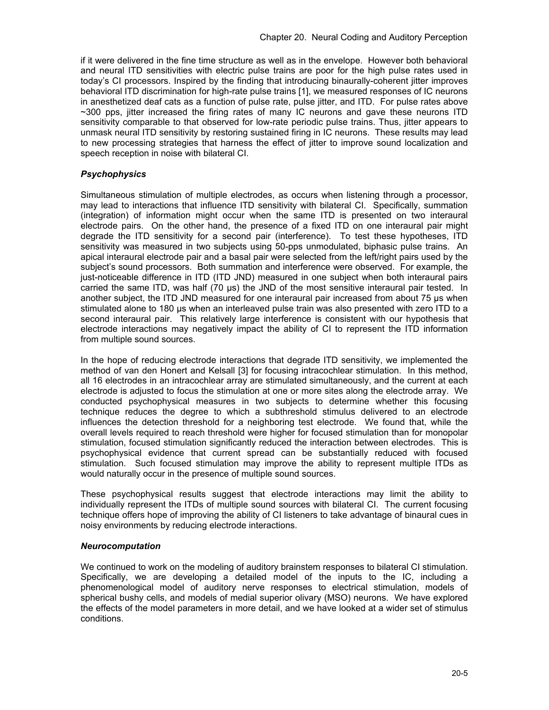if it were delivered in the fine time structure as well as in the envelope. However both behavioral and neural ITD sensitivities with electric pulse trains are poor for the high pulse rates used in today's CI processors. Inspired by the finding that introducing binaurally-coherent jitter improves behavioral ITD discrimination for high-rate pulse trains [1], we measured responses of IC neurons in anesthetized deaf cats as a function of pulse rate, pulse jitter, and ITD. For pulse rates above ~300 pps, jitter increased the firing rates of many IC neurons and gave these neurons ITD sensitivity comparable to that observed for low-rate periodic pulse trains. Thus, jitter appears to unmask neural ITD sensitivity by restoring sustained firing in IC neurons. These results may lead to new processing strategies that harness the effect of jitter to improve sound localization and speech reception in noise with bilateral CI.

# *Psychophysics*

Simultaneous stimulation of multiple electrodes, as occurs when listening through a processor, may lead to interactions that influence ITD sensitivity with bilateral CI. Specifically, summation (integration) of information might occur when the same ITD is presented on two interaural electrode pairs. On the other hand, the presence of a fixed ITD on one interaural pair might degrade the ITD sensitivity for a second pair (interference). To test these hypotheses, ITD sensitivity was measured in two subjects using 50-pps unmodulated, biphasic pulse trains. An apical interaural electrode pair and a basal pair were selected from the left/right pairs used by the subject's sound processors. Both summation and interference were observed. For example, the just-noticeable difference in ITD (ITD JND) measured in one subject when both interaural pairs carried the same ITD, was half (70 µs) the JND of the most sensitive interaural pair tested. In another subject, the ITD JND measured for one interaural pair increased from about 75 us when stimulated alone to 180 µs when an interleaved pulse train was also presented with zero ITD to a second interaural pair. This relatively large interference is consistent with our hypothesis that electrode interactions may negatively impact the ability of CI to represent the ITD information from multiple sound sources.

In the hope of reducing electrode interactions that degrade ITD sensitivity, we implemented the method of van den Honert and Kelsall [3] for focusing intracochlear stimulation. In this method, all 16 electrodes in an intracochlear array are stimulated simultaneously, and the current at each electrode is adjusted to focus the stimulation at one or more sites along the electrode array. We conducted psychophysical measures in two subjects to determine whether this focusing technique reduces the degree to which a subthreshold stimulus delivered to an electrode influences the detection threshold for a neighboring test electrode. We found that, while the overall levels required to reach threshold were higher for focused stimulation than for monopolar stimulation, focused stimulation significantly reduced the interaction between electrodes. This is psychophysical evidence that current spread can be substantially reduced with focused stimulation. Such focused stimulation may improve the ability to represent multiple ITDs as would naturally occur in the presence of multiple sound sources.

These psychophysical results suggest that electrode interactions may limit the ability to individually represent the ITDs of multiple sound sources with bilateral CI. The current focusing technique offers hope of improving the ability of CI listeners to take advantage of binaural cues in noisy environments by reducing electrode interactions.

## *Neurocomputation*

We continued to work on the modeling of auditory brainstem responses to bilateral CI stimulation. Specifically, we are developing a detailed model of the inputs to the IC, including a phenomenological model of auditory nerve responses to electrical stimulation, models of spherical bushy cells, and models of medial superior olivary (MSO) neurons. We have explored the effects of the model parameters in more detail, and we have looked at a wider set of stimulus conditions.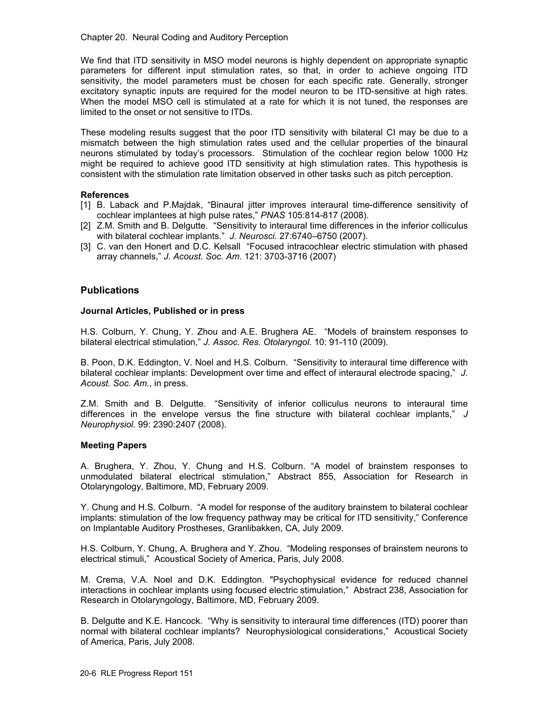Chapter 20. Neural Coding and Auditory Perception

We find that ITD sensitivity in MSO model neurons is highly dependent on appropriate synaptic parameters for different input stimulation rates, so that, in order to achieve ongoing ITD sensitivity, the model parameters must be chosen for each specific rate. Generally, stronger excitatory synaptic inputs are required for the model neuron to be ITD-sensitive at high rates. When the model MSO cell is stimulated at a rate for which it is not tuned, the responses are limited to the onset or not sensitive to ITDs.

These modeling results suggest that the poor ITD sensitivity with bilateral CI may be due to a mismatch between the high stimulation rates used and the cellular properties of the binaural neurons stimulated by today's processors. Stimulation of the cochlear region below 1000 Hz might be required to achieve good ITD sensitivity at high stimulation rates. This hypothesis is consistent with the stimulation rate limitation observed in other tasks such as pitch perception.

### **References**

- [1] B. Laback and P.Majdak, "Binaural jitter improves interaural time-difference sensitivity of cochlear implantees at high pulse rates," *PNAS* 105:814-817 (2008).
- [2] Z.M. Smith and B. Delgutte. "Sensitivity to interaural time differences in the inferior colliculus with bilateral cochlear implants." *J. Neurosci.* 27:6740–6750 (2007).
- [3] C. van den Honert and D.C. Kelsall "Focused intracochlear electric stimulation with phased array channels," *J. Acoust. Soc. Am.* 121: 3703-3716 (2007)

# **Publications**

### **Journal Articles, Published or in press**

H.S. Colburn, Y. Chung, Y. Zhou and A.E. Brughera AE. "Models of brainstem responses to bilateral electrical stimulation," *J. Assoc. Res. Otolaryngol.* 10: 91-110 (2009).

B. Poon, D.K. Eddington, V. Noel and H.S. Colburn. "Sensitivity to interaural time difference with bilateral cochlear implants: Development over time and effect of interaural electrode spacing," *J. Acoust. Soc. Am.*, in press.

Z.M. Smith and B. Delgutte. "Sensitivity of inferior colliculus neurons to interaural time differences in the envelope versus the fine structure with bilateral cochlear implants," *J Neurophysiol.* 99: 2390:2407 (2008).

#### **Meeting Papers**

A. Brughera, Y. Zhou, Y. Chung and H.S. Colburn. "A model of brainstem responses to unmodulated bilateral electrical stimulation," Abstract 855, Association for Research in Otolaryngology, Baltimore, MD, February 2009.

Y. Chung and H.S. Colburn. "A model for response of the auditory brainstem to bilateral cochlear implants: stimulation of the low frequency pathway may be critical for ITD sensitivity," Conference on Implantable Auditory Prostheses, Granlibakken, CA, July 2009.

H.S. Colburn, Y. Chung, A. Brughera and Y. Zhou. "Modeling responses of brainstem neurons to electrical stimuli," Acoustical Society of America, Paris, July 2008.

M. Crema, V.A. Noel and D.K. Eddington. "Psychophysical evidence for reduced channel interactions in cochlear implants using focused electric stimulation," Abstract 238, Association for Research in Otolaryngology, Baltimore, MD, February 2009.

B. Delgutte and K.E. Hancock. "Why is sensitivity to interaural time differences (ITD) poorer than normal with bilateral cochlear implants? Neurophysiological considerations," Acoustical Society of America, Paris, July 2008.